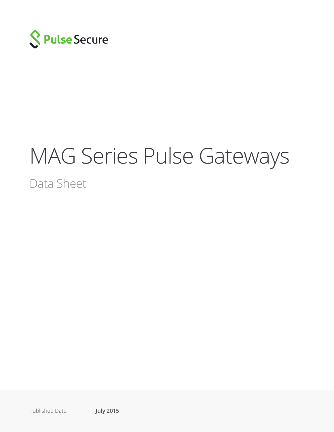

# MAG Series Pulse Gateways

Data Sheet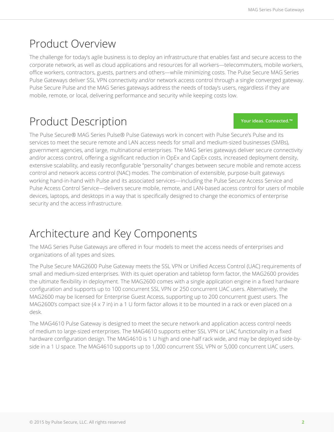### Product Overview

The challenge for today's agile business is to deploy an infrastructure that enables fast and secure access to the corporate network, as well as cloud applications and resources for all workers—telecommuters, mobile workers, office workers, contractors, guests, partners and others—while minimizing costs. The Pulse Secure MAG Series Pulse Gateways deliver SSL VPN connectivity and/or network access control through a single converged gateway. Pulse Secure Pulse and the MAG Series gateways address the needs of today's users, regardless if they are mobile, remote, or local, delivering performance and security while keeping costs low.

### Product Description

**Your ideas. Connected.™**

The Pulse Secure® MAG Series Pulse® Pulse Gateways work in concert with Pulse Secure's Pulse and its services to meet the secure remote and LAN access needs for small and medium-sized businesses (SMBs), government agencies, and large, multinational enterprises. The MAG Series gateways deliver secure connectivity and/or access control, offering a significant reduction in OpEx and CapEx costs, increased deployment density, extensive scalability, and easily reconfigurable "personality" changes between secure mobile and remote access control and network access control (NAC) modes. The combination of extensible, purpose-built gateways working hand-in-hand with Pulse and its associated services—including the Pulse Secure Access Service and Pulse Access Control Service—delivers secure mobile, remote, and LAN-based access control for users of mobile devices, laptops, and desktops in a way that is specifically designed to change the economics of enterprise security and the access infrastructure.

### Architecture and Key Components

The MAG Series Pulse Gateways are offered in four models to meet the access needs of enterprises and organizations of all types and sizes.

The Pulse Secure MAG2600 Pulse Gateway meets the SSL VPN or Unified Access Control (UAC) requirements of small and medium-sized enterprises. With its quiet operation and tabletop form factor, the MAG2600 provides the ultimate flexibility in deployment. The MAG2600 comes with a single application engine in a fixed hardware configuration and supports up to 100 concurrent SSL VPN or 250 concurrent UAC users. Alternatively, the MAG2600 may be licensed for Enterprise Guest Access, supporting up to 200 concurrent guest users. The MAG2600's compact size (4 x 7 in) in a 1 U form factor allows it to be mounted in a rack or even placed on a desk.

The MAG4610 Pulse Gateway is designed to meet the secure network and application access control needs of medium to large-sized enterprises. The MAG4610 supports either SSL VPN or UAC functionality in a fixed hardware configuration design. The MAG4610 is 1 U high and one-half rack wide, and may be deployed side-byside in a 1 U space. The MAG4610 supports up to 1,000 concurrent SSL VPN or 5,000 concurrent UAC users.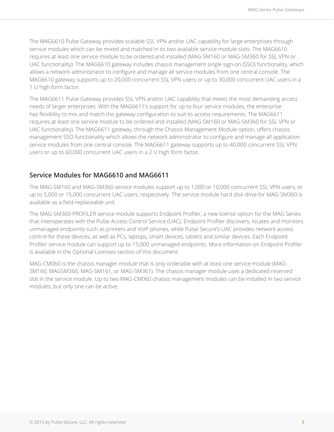The MAG6610 Pulse Gateway provides scalable SSL VPN and/or UAC capability for large enterprises through service modules which can be mixed and matched in its two available service module slots. The MAG6610 requires at least one service module to be ordered and installed (MAG-SM160 or MAG-SM360 for SSL VPN or UAC functionality). The MAG6610 gateway includes chassis management single sign-on (SSO) functionality, which allows a network administrator to configure and manage all service modules from one central console. The MAG6610 gateway supports up to 20,000 concurrent SSL VPN users or up to 30,000 concurrent UAC users in a 1 U high form factor.

The MAG6611 Pulse Gateway provides SSL VPN and/or UAC capability that meets the most demanding access needs of larger enterprises. With the MAG6611's support for up to four service modules, the enterprise has flexibility to mix and match the gateway configuration to suit its access requirements. The MAG6611 requires at least one service module to be ordered and installed (MAG-SM160 or MAG-SM360 for SSL VPN or UAC functionality). The MAG6611 gateway, through the Chassis Management Module option, offers chassis management SSO functionality which allows the network administrator to configure and manage all application service modules from one central console. The MAG6611 gateway supports up to 40,000 concurrent SSL VPN users or up to 60,000 concurrent UAC users in a 2 U high form factor.

#### **Service Modules for MAG6610 and MAG6611**

The MAG-SM160 and MAG-SM360 service modules support up to 1,000 or 10,000 concurrent SSL VPN users, or up to 5,000 or 15,000 concurrent UAC users, respectively. The service module hard disk drive for MAG-SM360 is available as a field-replaceable unit.

The MAG-SM360-PROFILER service module supports Endpoint Profiler, a new license option for the MAG Series that interoperates with the Pulse Access Control Service (UAC). Endpoint Profiler discovers, locates and monitors unmanaged endpoints such as printers and VoIP phones, while Pulse Secure's UAC provides network access control for these devices, as well as PCs, laptops, smart devices, tablets and similar devices. Each Endpoint Profiler service module can support up to 15,000 unmanaged endpoints. More information on Endpoint Profiler is available in the Optional Licenses section of this document.

MAG-CM060 is the chassis manager module that is only orderable with at least one service module (MAG-SM160, MAGSM360, MAG-SM161, or MAG-SM361). The chassis manager module uses a dedicated reserved slot in the service module. Up to two MAG-CM060 chassis management modules can be installed in two service modules, but only one can be active.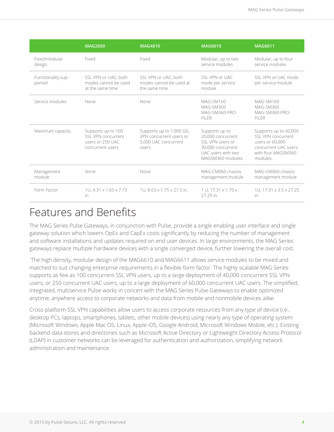|                              | <b>MAG2600</b>                                                                   | <b>MAG4610</b>                                                                       | <b>MAG6610</b>                                                                                                          | <b>MAG6611</b>                                                                                                           |
|------------------------------|----------------------------------------------------------------------------------|--------------------------------------------------------------------------------------|-------------------------------------------------------------------------------------------------------------------------|--------------------------------------------------------------------------------------------------------------------------|
| Fixed/modular<br>design      | Fixed                                                                            | Fixed                                                                                | Modular; up to two<br>service modules                                                                                   | Modular; up to four<br>service modules                                                                                   |
| Functionality sup-<br>ported | SSL VPN or UAC; both<br>modes cannot be used<br>at the same time.                | SSL VPN or UAC; both<br>modes cannot be used at<br>the same time                     | SSL VPN or UAC<br>mode per service<br>module                                                                            | SSL VPN or UAC mode<br>per service module                                                                                |
| Service modules              | None                                                                             | None                                                                                 | MAG-SM160<br>MAG-SM360<br>MAG-SM360-PRO-<br>FII FR                                                                      | MAG-SM160<br>MAG-SM360<br>MAG-SM360-PRO-<br>FII FR                                                                       |
| Maximum capacity             | Supports up to 100<br>SSL VPN concurrent<br>users or 250 UAC<br>concurrent users | Supports up to 1,000 SSL<br>VPN concurrent users or<br>5,000 UAC concurrent<br>users | Supports up to<br>20,000 concurrent<br>SSL VPN users or<br>30,000 concurrent<br>UAC users with two<br>MAGSM360 modules. | Supports up to 40,000<br>SSL VPN concurrent<br>users or 60,000<br>concurrent UAC users<br>with four MAGSM360<br>modules. |
| Management<br>module         | None                                                                             | None                                                                                 | MAG-CM060 chassis<br>management module                                                                                  | MAG-CM060 chassis<br>management module                                                                                   |
| Form Factor                  | 1U, 4.31 x 1.65 x 7.73<br>in.                                                    | 1U, 8.63 x 1.75 x 21.5 in.                                                           | 1 U, 17.31 x 1.75 x<br>27.25 in.                                                                                        | 1U, 17.31 x 3.5 x 27.25<br>in.                                                                                           |

### Features and Benefits

The MAG Series Pulse Gateways, in conjunction with Pulse, provide a single enabling user interface and single gateway solution which lowers OpEx and CapEx costs significantly by reducing the number of management and software installations and updates required on end user devices. In large environments, the MAG Series gateways replace multiple hardware devices with a single converged device, further lowering the overall cost.

 The high density, modular design of the MAG6610 and MAG6611 allows service modules to be mixed and matched to suit changing enterprise requirements in a flexible form factor. The highly scalable MAG Series supports as few as 100 concurrent SSL VPN users, up to a large deployment of 40,000 concurrent SSL VPN users, or 250 concurrent UAC users, up to a large deployment of 60,000 concurrent UAC users. The simplified, integrated, multiservice Pulse works in concert with the MAG Series Pulse Gateways to enable optimized anytime, anywhere access to corporate networks and data from mobile and nonmobile devices alike.

Cross-platform SSL VPN capabilities allow users to access corporate resources from any type of device (i.e., desktop PCs, laptops, smartphones, tablets, other mobile devices) using nearly any type of operating system (Microsoft Windows, Apple Mac OS, Linux, Apple iOS, Google Android, Microsoft Windows Mobile, etc.). Existing backend data stores and directories such as Microsoft Active Directory or Lightweight Directory Access Protocol (LDAP) in customer networks can be leveraged for authentication and authorization, simplifying network administration and maintenance.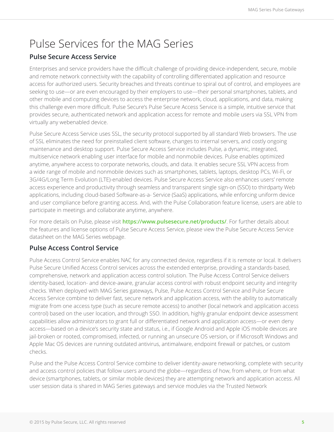### Pulse Services for the MAG Series

#### **Pulse Secure Access Service**

Enterprises and service providers have the difficult challenge of providing device-independent, secure, mobile and remote network connectivity with the capability of controlling differentiated application and resource access for authorized users. Security breaches and threats continue to spiral out of control, and employees are seeking to use—or are even encouraged by their employers to use—their personal smartphones, tablets, and other mobile and computing devices to access the enterprise network, cloud, applications, and data, making this challenge even more difficult. Pulse Secure's Pulse Secure Access Service is a simple, intuitive service that provides secure, authenticated network and application access for remote and mobile users via SSL VPN from virtually any webenabled device.

Pulse Secure Access Service uses SSL, the security protocol supported by all standard Web browsers. The use of SSL eliminates the need for preinstalled client software, changes to internal servers, and costly ongoing maintenance and desktop support. Pulse Secure Access Service includes Pulse, a dynamic, integrated, multiservice network enabling user interface for mobile and nonmobile devices. Pulse enables optimized anytime, anywhere access to corporate networks, clouds, and data. It enables secure SSL VPN access from a wide range of mobile and nonmobile devices such as smartphones, tablets, laptops, desktop PCs, Wi-Fi, or 3G/4G/Long Term Evolution (LTE)-enabled devices. Pulse Secure Access Service also enhances users' remote access experience and productivity through seamless and transparent single sign-on (SSO) to thirdparty Web applications, including cloud-based Software-as-a- Service (SaaS) applications, while enforcing uniform device and user compliance before granting access. And, with the Pulse Collaboration feature license, users are able to participate in meetings and collaborate anytime, anywhere.

For more details on Pulse, please visit **https://www.pulsesecure.net/products/**. For further details about the features and license options of Pulse Secure Access Service, please view the Pulse Secure Access Service datasheet on the MAG Series webpage.

#### **Pulse Access Control Service**

Pulse Access Control Service enables NAC for any connected device, regardless if it is remote or local. It delivers Pulse Secure Unified Access Control services across the extended enterprise, providing a standards-based, comprehensive, network and application access control solution. The Pulse Access Control Service delivers identity-based, location- and device-aware, granular access control with robust endpoint security and integrity checks. When deployed with MAG Series gateways, Pulse, Pulse Access Control Service and Pulse Secure Access Service combine to deliver fast, secure network and application access, with the ability to automatically migrate from one access type (such as secure remote access) to another (local network and application access control) based on the user location, and through SSO. In addition, highly granular endpoint device assessment capabilities allow administrators to grant full or differentiated network and application access—or even deny access—based on a device's security state and status, i.e., if Google Android and Apple iOS mobile devices are jail-broken or rooted, compromised, infected, or running an unsecure OS version, or if Microsoft Windows and Apple Mac OS devices are running outdated antivirus, antimalware, endpoint firewall or patches, or custom checks.

Pulse and the Pulse Access Control Service combine to deliver identity-aware networking, complete with security and access control policies that follow users around the globe—regardless of how, from where, or from what device (smartphones, tablets, or similar mobile devices) they are attempting network and application access. All user session data is shared in MAG Series gateways and service modules via the Trusted Network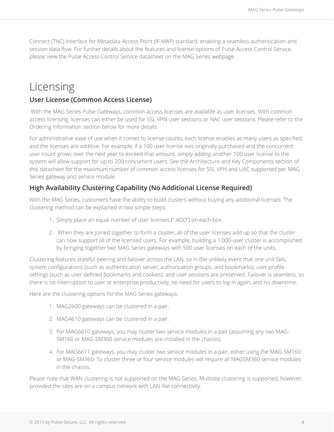Connect (TNC) Interface for Metadata Access Point (IF-MAP) standard, enabling a seamless authentication and session data flow. For further details about the features and license options of Pulse Access Control Service, please view the Pulse Access Control Service datasheet on the MAG Series webpage.

### Licensing

#### **User License (Common Access License)**

 With the MAG Series Pulse Gateways, common access licenses are available as user licenses. With common access licensing, licenses can either be used for SSL VPN user sessions or NAC user sessions. Please refer to the Ordering Information section below for more details.

For administrative ease of use when it comes to license counts, each license enables as many users as specified, and the licenses are additive. For example, if a 100 user license was originally purchased and the concurrent user count grows over the next year to exceed that amount, simply adding another 100 user license to the system will allow support for up to 200 concurrent users. See the Architecture and Key Components section of this datasheet for the maximum number of common access licenses for SSL VPN and UAC supported per MAG Series gateway and service module.

#### **High Availability Clustering Capability (No Additional License Required)**

With the MAG Series, customers have the ability to build clusters without buying any additional licenses. The clustering method can be explained in two simple steps:

- 1. Simply place an equal number of user licenses ("-ADD") on each box.
- 2. When they are joined together to form a cluster, all of the user licenses add up so that the cluster can now support all of the licensed users. For example, building a 1,000-user cluster is accomplished by bringing together two MAG Series gateways with 500 user licenses on each of the units.

Clustering features stateful peering and failover across the LAN, so in the unlikely event that one unit fails, system configurations (such as authentication server, authorization groups, and bookmarks), user profile settings (such as user defined bookmarks and cookies), and user sessions are preserved. Failover is seamless, so there is no interruption to user or enterprise productivity, no need for users to log in again, and no downtime.

Here are the clustering options for the MAG Series gateways:

- 1. MAG2600 gateways can be clustered in a pair.
- 2. MAG4610 gateways can be clustered in a pair.
- 3. For MAG6610 gateways, you may cluster two service modules in a pair (assuming any two MAG-SM160 or MAG-SM360 service modules are installed in the chassis).
- 4. For MAG6611 gateways, you may cluster two service modules in a pair, either using the MAG-SM160 or MAG-SM360. To cluster three or four service modules will require all MAGSM360 service modules in the chassis.

Please note that WAN clustering is not supported on the MAG Series. Multisite clustering is supported, however, provided the sites are on a campus network with LAN-like connectivity.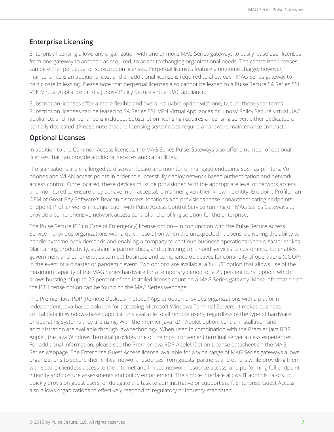#### **Enterprise Licensing**

Enterprise licensing allows any organization with one or more MAG Series gateways to easily lease user licenses from one gateway to another, as required, to adapt to changing organizational needs. The centralized licenses can be either perpetual or subscription licenses. Perpetual licenses feature a one-time charge; however, maintenance is an additional cost and an additional license is required to allow each MAG Series gateway to participate in leasing. Please note that perpetual licenses also cannot be leased to a Pulse Secure SA Series SSL VPN Virtual Appliance or to a JunosV Policy Secure virtual UAC appliance.

Subscription licenses offer a more flexible and overall valuable option with one, two, or three-year terms. Subscription licenses can be leased to SA Series SSL VPN Virtual Appliances or JunosV Policy Secure virtual UAC appliance, and maintenance is included. Subscription licensing requires a licensing server, either dedicated or partially dedicated. (Please note that the licensing server does require a hardware maintenance contract.)

#### **Optional Licenses**

In addition to the Common Access licenses, the MAG Series Pulse Gateways also offer a number of optional licenses that can provide additional services and capabilities.

IT organizations are challenged to discover, locate and monitor unmanaged endpoints such as printers, VoIP phones and WLAN access points in order to successfully deploy network-based authentication and network access control. Once located, these devices must be provisioned with the appropriate level of network access and monitored to ensure they behave in an acceptable manner given their known identity. Endpoint Profiler, an OEM of Great Bay Software's Beacon discovers, locations and provisions these nonauthenticating endpoints. Endpoint Profiler works in conjunction with Pulse Access Control Service running on MAG Series Gateways to provide a comprehensive network access control and profiling solution for the enterprise.

The Pulse Secure ICE (In Case of Emergency) license option—in conjunction with the Pulse Secure Access Service—provides organizations with a quick resolution when the unexpected happens, delivering the ability to handle extreme peak demands and enabling a company to continue business operations when disaster strikes. Maintaining productivity, sustaining partnerships, and delivering continued services to customers, ICE enables government and other entities to meet business and compliance objectives for continuity of operations (COOP) in the event of a disaster or pandemic event. Two options are available: a full ICE option that allows use of the maximum capacity of the MAG Series hardware for a temporary period, or a 25 percent burst option, which allows bursting of up to 25 percent of the installed license count on a MAG Series gateway. More information on the ICE license option can be found on the MAG Series webpage

The Premier Java RDP (Remote Desktop Protocol) Applet option provides organizations with a platformindependent, Java-based solution for accessing Microsoft Windows Terminal Servers. It makes business critical data in Windows-based applications available to all remote users, regardless of the type of hardware or operating systems they are using. With the Premier Java RDP Applet option, central installation and administration are available through Java technology. When used in combination with the Premier Java RDP Applet, the Java Windows Terminal provides one of the most convenient terminal server access experiences. For additional information, please see the Premier Java RDP Applet Option License datasheet on the MAG Series webpage. The Enterprise Guest Access license, available for a wide range of MAG Series gateways allows organizations to secure their critical network resources from guests, partners, and others while providing them with secure clientless access to the Internet and limited network resource access, and performing full endpoint integrity and posture assessments and policy enforcement. The simple interface allows IT administrators to quickly provision guest users, or delegate the task to administrative or support staff. Enterprise Guest Access also allows organizations to effectively respond to regulatory or industry-mandated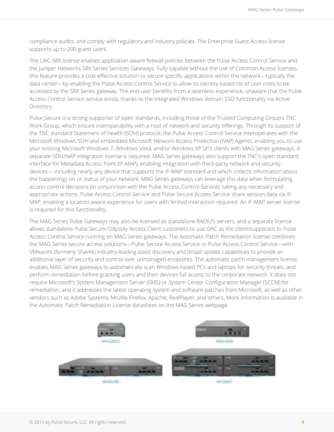compliance audits, and comply with regulatory and industry policies. The Enterprise Guest Access license supports up to 200 guest users.

The UAC-SRX license enables application-aware firewall policies between the Pulse Access Control Service and the Juniper Networks SRX Series Services Gateways. Fully capable without the use of Common Access licenses, this feature provides a cost-effective solution to secure specific applications within the network—typically the data center—by enabling the Pulse Access Control Service to allow its identity-based list of user roles to be accessed by the SRX Series gateway. The end user benefits from a seamless experience, unaware that the Pulse Access Control Service service exists, thanks to the integrated Windows domain SSO functionality via Active Directory.

Pulse Secure is a strong supporter of open standards, including those of the Trusted Computing Group's TNC Work Group, which ensure interoperability with a host of network and security offerings. Through its support of the TNC standard Statement of Health (SOH) protocol, the Pulse Access Control Service interoperates with the Microsoft Windows SOH and embedded Microsoft Network Access Protection (NAP) Agents, enabling you to use your existing Microsoft Windows 7, Windows Vista, and/or Windows XP SP3 clients with MAG Series gateways. A separate SOH/NAP integration license is required. MAG Series gateways also support the TNC's open standard Interface for Metadata Access Point (IF-MAP), enabling integration with third-party network and security devices— including nearly any device that supports the IF-MAP standard and which collects information about the happenings on or status of your network. MAG Series gateways can leverage this data when formulating access control decisions (in conjunction with the Pulse Access Control Service), taking any necessary and appropriate actions. Pulse Access Control Service and Pulse Secure Access Service share session data via IF-MAP, enabling a location-aware experience for users with limited interaction required. An IF-MAP server license is required for this functionality.

The MAG Series Pulse Gateways may also be licensed as standalone RADIUS servers, and a separate license allows standalone Pulse Secure Odyssey Access Client customers to use OAC as the client/supplicant to Pulse Access Control Service running on MAG Series gateways. The Automatic Patch Remediation license combines the MAG Series secure access solutions—Pulse Secure Access Service or Pulse Access Control Service—with VMware's (formerly Shavlik) industry-leading asset discovery and broad update capabilities to provide an additional layer of security and control over unmanaged endpoints. The automatic patch management license enables MAG Series gateways to automatically scan Windows-based PCs and laptops for security threats, and perform remediation before granting users and their devices full access to the corporate network. It does not require Microsoft's System Management Server (SMS) or System Center Configuration Manager (SCCM) for remediation, and it addresses the latest operating system and software patches from Microsoft, as well as other vendors such as Adobe Systems, Mozilla Firefox, Apache, RealPlayer, and others. More information is available in the Automatic Patch Remediation License datasheet on the MAG Series webpage.

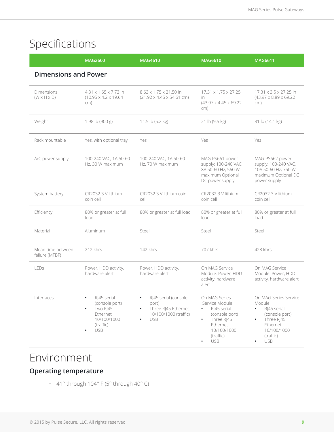## Specifications

|                                       | <b>MAG2600</b>                                                                                                                         | <b>MAG4610</b>                                                                              | <b>MAG6610</b>                                                                                                                                                  | <b>MAG6611</b>                                                                                                                                                               |
|---------------------------------------|----------------------------------------------------------------------------------------------------------------------------------------|---------------------------------------------------------------------------------------------|-----------------------------------------------------------------------------------------------------------------------------------------------------------------|------------------------------------------------------------------------------------------------------------------------------------------------------------------------------|
| <b>Dimensions and Power</b>           |                                                                                                                                        |                                                                                             |                                                                                                                                                                 |                                                                                                                                                                              |
| Dimensions<br>$(W \times H \times D)$ | 4.31 x 1.65 x 7.73 in<br>$(10.95 \times 4.2 \times 19.64)$<br>cm)                                                                      | 8.63 x 1.75 x 21.50 in<br>$(21.92 \times 4.45 \times 54.61$ cm)                             | 17.31 x 1.75 x 27.25<br>in.<br>$(43.97 \times 4.45 \times 69.22)$<br>cm)                                                                                        | 17.31 x 3.5 x 27.25 in<br>$(43.97 \times 8.89 \times 69.22)$<br>cm)                                                                                                          |
| Weight                                | 1.98 lb (900 g)                                                                                                                        | 11.5 lb (5.2 kg)                                                                            | 21 lb (9.5 kg)                                                                                                                                                  | 31 lb (14.1 kg)                                                                                                                                                              |
| Rack mountable                        | Yes, with optional tray                                                                                                                | Yes                                                                                         | Yes                                                                                                                                                             | Yes                                                                                                                                                                          |
| A/C power supply                      | 100-240 VAC, 1A 50-60<br>Hz. 30 W maximum                                                                                              | 100-240 VAC, 1A 50-60<br>Hz, 70 W maximum                                                   | MAG-PS661 power<br>supply: 100-240 VAC,<br>8A 50-60 Hz, 560 W<br>maximum Optional<br>DC power supply                                                            | MAG-PS662 power<br>supply: 100-240 VAC,<br>10A 50-60 Hz, 750 W<br>maximum Optional DC<br>power supply                                                                        |
| System battery                        | CR2032 3 V lithium<br>coin cell                                                                                                        | CR2032 3 V lithium coin<br>cell                                                             | CR2032 3 V lithium<br>coin cell                                                                                                                                 | CR2032 3 V lithium<br>coin cell                                                                                                                                              |
| Efficiency                            | 80% or greater at full<br>load                                                                                                         | 80% or greater at full load                                                                 | 80% or greater at full<br>load                                                                                                                                  | 80% or greater at full<br>load                                                                                                                                               |
| Material                              | Aluminum                                                                                                                               | Steel                                                                                       | Steel                                                                                                                                                           | Steel                                                                                                                                                                        |
| Mean time between<br>failure (MTBF)   | 212 khrs                                                                                                                               | 142 khrs                                                                                    | 707 khrs                                                                                                                                                        | 428 khrs                                                                                                                                                                     |
| LEDs                                  | Power, HDD activity,<br>hardware alert                                                                                                 | Power, HDD activity,<br>hardware alert                                                      | On MAG Service<br>Module: Power, HDD<br>activity, hardware<br>alert                                                                                             | On MAG Service<br>Module: Power, HDD<br>activity, hardware alert                                                                                                             |
| Interfaces                            | RJ45 serial<br>$\bullet$<br>(console port)<br>Two RJ45<br>$\bullet$<br>Ethernet<br>10/100/1000<br>(traffic)<br><b>USB</b><br>$\bullet$ | RJ45 serial (console<br>port)<br>Three RJ45 Ethernet<br>10/100/1000 (traffic)<br><b>USB</b> | On MAG Series<br>Service Module:<br>RJ45 serial<br>$\bullet$<br>(console port)<br>Three RJ45<br>Ethernet<br>10/100/1000<br>(traffic)<br><b>USB</b><br>$\bullet$ | On MAG Series Service<br>Module:<br>RJ45 serial<br>$\bullet$<br>(console port)<br>Three RJ45<br>$\bullet$<br>Ethernet<br>10/100/1000<br>(traffic)<br><b>USB</b><br>$\bullet$ |

### Environment

### **Operating temperature**

• 41° through 104° F (5° through 40° C)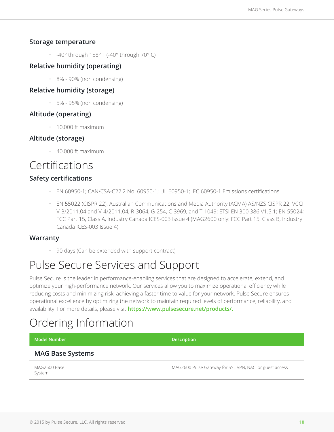#### **Storage temperature**

 $\cdot$  -40° through 158° F (-40° through 70° C)

#### **Relative humidity (operating)**

• 8% - 90% (non condensing)

#### **Relative humidity (storage)**

• 5% - 95% (non condensing)

#### **Altitude (operating)**

• 10,000 ft maximum

#### **Altitude (storage)**

• 40,000 ft maximum

### Certifications

#### **Safety certifications**

- EN 60950-1; CAN/CSA-C22.2 No. 60950-1; UL 60950-1; IEC 60950-1 Emissions certifications
- EN 55022 (CISPR 22); Australian Communications and Media Authority (ACMA) AS/NZS CISPR 22; VCCI V-3/2011.04 and V-4/2011.04, R-3064, G-254, C-3969, and T-1049; ETSI EN 300 386 V1.5.1; EN 55024; FCC Part 15, Class A, Industry Canada ICES-003 Issue 4 (MAG2600 only: FCC Part 15, Class B, Industry Canada ICES-003 Issue 4)

#### **Warranty**

• 90 days (Can be extended with support contract)

### Pulse Secure Services and Support

Pulse Secure is the leader in performance-enabling services that are designed to accelerate, extend, and optimize your high-performance network. Our services allow you to maximize operational efficiency while reducing costs and minimizing risk, achieving a faster time to value for your network. Pulse Secure ensures operational excellence by optimizing the network to maintain required levels of performance, reliability, and availability. For more details, please visit **https://www.pulsesecure.net/products/.**

### Ordering Information

| Model Number     | <b>Description</b> |
|------------------|--------------------|
| MAG Race Systems |                    |

#### **MAG Base Systems**

MAG2600 Base System

MAG2600 Pulse Gateway for SSL VPN, NAC, or guest access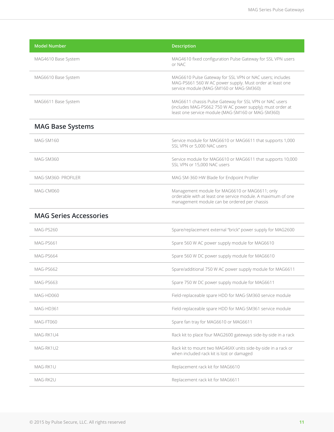| <b>Model Number</b>           | <b>Description</b>                                                                                                                                                       |
|-------------------------------|--------------------------------------------------------------------------------------------------------------------------------------------------------------------------|
| MAG4610 Base System           | MAG4610 fixed configuration Pulse Gateway for SSL VPN users<br>or NAC                                                                                                    |
| MAG6610 Base System           | MAG6610 Pulse Gateway for SSL VPN or NAC users; includes<br>MAG-PS661 560 W AC power supply. Must order at least one<br>service module (MAG-SM160 or MAG-SM360)          |
| MAG6611 Base System           | MAG6611 chassis Pulse Gateway for SSL VPN or NAC users<br>(includes MAG-PS662 750 W AC power supply); must order at<br>least one service module (MAG-SM160 or MAG-SM360) |
| <b>MAG Base Systems</b>       |                                                                                                                                                                          |
| MAG-SM160                     | Service module for MAG6610 or MAG6611 that supports 1,000<br>SSL VPN or 5,000 NAC users                                                                                  |
| MAG-SM360                     | Service module for MAG6610 or MAG6611 that supports 10,000<br>SSL VPN or 15,000 NAC users                                                                                |
| MAG-SM360- PROFILER           | MAG SM-360 HW Blade for Endpoint Profiler                                                                                                                                |
| MAG-CM060                     | Management module for MAG6610 or MAG6611; only<br>orderable with at least one service module. A maximum of one<br>management module can be ordered per chassis           |
| <b>MAG Series Accessories</b> |                                                                                                                                                                          |
| MAG-PS260                     | Spare/replacement external "brick" power supply for MAG2600                                                                                                              |
| MAG-PS661                     | Spare 560 W AC power supply module for MAG6610                                                                                                                           |
| MAG-PS664                     | Spare 560 W DC power supply module for MAG6610                                                                                                                           |
| MAG-PS662                     | Spare/additional 750 W AC power supply module for MAG6611                                                                                                                |
| MAG-PS663                     | Spare 750 W DC power supply module for MAG6611                                                                                                                           |
| MAG-HD060                     | Field-replaceable spare HDD for MAG-SM360 service module                                                                                                                 |
| MAG-HD361                     | Field-replaceable spare HDD for MAG-SM361 service module                                                                                                                 |
| MAG-FT060                     | Spare fan tray for MAG6610 or MAG6611                                                                                                                                    |
| MAG-RK1U4                     | Rack kit to place four MAG2600 gateways side-by-side in a rack                                                                                                           |
| MAG-RK1U2                     | Rack kit to mount two MAG46XX units side-by-side in a rack or<br>when included rack kit is lost or damaged                                                               |
| MAG-RK1U                      | Replacement rack kit for MAG6610                                                                                                                                         |
| MAG-RK2U                      | Replacement rack kit for MAG6611                                                                                                                                         |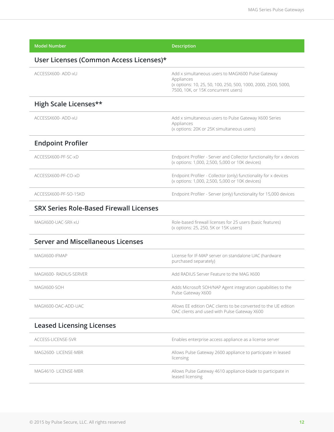| <b>Model Number</b>                            | <b>Description</b>                                                                                                                                                       |
|------------------------------------------------|--------------------------------------------------------------------------------------------------------------------------------------------------------------------------|
| User Licenses (Common Access Licenses)*        |                                                                                                                                                                          |
| ACCESSX600- ADD-xU                             | Add x simultaneous users to MAGX600 Pulse Gateway<br>Appliances<br>(x options: 10, 25, 50, 100, 250, 500, 1000, 2000, 2500, 5000,<br>7500, 10K, or 15K concurrent users) |
| High Scale Licenses**                          |                                                                                                                                                                          |
| ACCESSX600-ADD-xU                              | Add x simultaneous users to Pulse Gateway X600 Series<br>Appliances<br>(x options: 20K or 25K simultaneous users)                                                        |
| <b>Endpoint Profiler</b>                       |                                                                                                                                                                          |
| ACCESSX600-PF-SC-xD                            | Endpoint Profiler - Server and Collector functionality for x devices<br>(x options: 1,000, 2,500, 5,000 or 10K devices)                                                  |
| ACCESSX600-PF-CO-xD                            | Endpoint Profiler - Collector (only) functionality for x devices<br>(x options: 1,000, 2,500, 5,000 or 10K devices)                                                      |
| ACCESSX600-PE-SO-15KD                          | Endpoint Profiler - Server (only) functionality for 15,000 devices                                                                                                       |
| <b>SRX Series Role-Based Firewall Licenses</b> |                                                                                                                                                                          |
| MAGX600-UAC-SRX-xU                             | Role-based firewall licenses for 25 users (basic features)<br>(x options: 25, 250, 5K or 15K users)                                                                      |
| <b>Server and Miscellaneous Licenses</b>       |                                                                                                                                                                          |
| MAGX600-IFMAP                                  | License for IF-MAP server on standalone UAC (hardware<br>purchased separately)                                                                                           |
| MAGX600-RADIUS-SERVER                          | Add RADIUS Server Feature to the MAG X600                                                                                                                                |
| MAGX600-SOH                                    | Adds Microsoft SOH/NAP Agent integration capabilities to the<br>Pulse Gateway X600                                                                                       |
| MAGX600-OAC-ADD-UAC                            | Allows EE edition OAC clients to be converted to the UE edition<br>OAC clients and used with Pulse Gateway X600                                                          |
| <b>Leased Licensing Licenses</b>               |                                                                                                                                                                          |
| ACCESS-LICENSE-SVR                             | Enables enterprise access appliance as a license server                                                                                                                  |
| MAG2600-LICENSE-MBR                            | Allows Pulse Gateway 2600 appliance to participate in leased<br>licensing                                                                                                |
| MAG4610-LICENSE-MBR                            | Allows Pulse Gateway 4610 appliance-blade to participate in<br>leased licensing                                                                                          |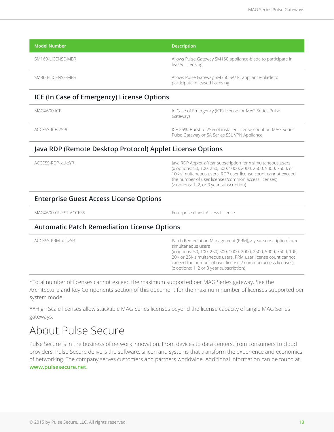| Model Number '    | <b>Description</b>                                                                     |
|-------------------|----------------------------------------------------------------------------------------|
| SM160-LICENSE-MBR | Allows Pulse Gateway SM160 appliance-blade to participate in<br>leased licensing       |
| SM360-LICENSE-MBR | Allows Pulse Gateway SM360 SA/IC appliance-blade to<br>participate in leased licensing |

#### **ICE (In Case of Emergency) License Options**

| MAGX600-ICF     | In Case of Emergency (ICE) license for MAG Series Pulse<br>Gateways                                            |
|-----------------|----------------------------------------------------------------------------------------------------------------|
| ACCESS-ICE-25PC | ICE 25%: Burst to 25% of installed license count on MAG Series<br>Pulse Gateway or SA Series SSL VPN Appliance |

#### **Java RDP (Remote Desktop Protocol) Applet License Options**

| <b>Enterprise Guest Access License Options</b> |                                                                                                                                                                                                                                                                                                     |
|------------------------------------------------|-----------------------------------------------------------------------------------------------------------------------------------------------------------------------------------------------------------------------------------------------------------------------------------------------------|
| ACCESS-RDP-xU-zYR                              | Java RDP Applet z-Year subscription for x simultaneous users<br>(x options: 50, 100, 250, 500, 1000, 2000, 2500, 5000, 7500, or<br>10K simultaneous users. RDP user license count cannot exceed<br>the number of user licenses/common access licenses)<br>(z options: 1, 2, or 3 year subscription) |

MAGX600-GUEST-ACCESS Enterprise Guest Access License

#### **Automatic Patch Remediation License Options**

| ACCESS-PRM-xU-7YR | Patch Remediation Management (PRM), z-year subscription for x<br>simultaneous users<br>(x options: 50, 100, 250, 500, 1000, 2000, 2500, 5000, 7500, 10K,<br>20K or 25K simultaneous users. PRM user license count cannot<br>exceed the number of user licenses/ common access licenses)<br>(z options: 1, 2 or 3 year subscription) |
|-------------------|-------------------------------------------------------------------------------------------------------------------------------------------------------------------------------------------------------------------------------------------------------------------------------------------------------------------------------------|
|-------------------|-------------------------------------------------------------------------------------------------------------------------------------------------------------------------------------------------------------------------------------------------------------------------------------------------------------------------------------|

\*Total number of licenses cannot exceed the maximum supported per MAG Series gateway. See the Architecture and Key Components section of this document for the maximum number of licenses supported per system model.

\*\*High Scale licenses allow stackable MAG Series licenses beyond the license capacity of single MAG Series gateways.

### About Pulse Secure

Pulse Secure is in the business of network innovation. From devices to data centers, from consumers to cloud providers, Pulse Secure delivers the software, silicon and systems that transform the experience and economics of networking. The company serves customers and partners worldwide. Additional information can be found at **www.pulsesecure.net.**